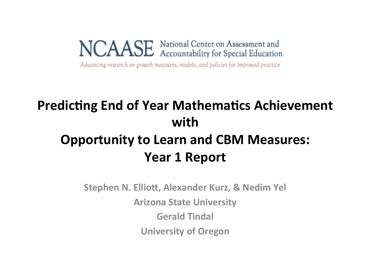NCAASE National Center on Assessment and<br>ACAASE Accountability for Special Education

Advancing research on growth measures, models, and policies for improved practice

### **Predicting End of Year Mathematics Achievement with Opportunity to Learn and CBM Measures:** Year 1 Report

**Stephen N. Elliott, Alexander Kurz, & Nedim Yel Arizona State University Gerald Tindal University of Oregon**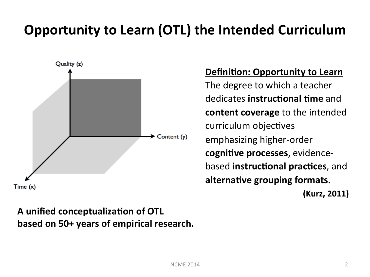### **Opportunity to Learn (OTL) the Intended Curriculum**



#### A unified conceptualization of OTL **based on 50+ years of empirical research.**

#### **Definition: Opportunity to Learn**

The degree to which a teacher dedicates **instructional time** and **content coverage** to the intended curriculum objectives emphasizing higher-order **cognitive processes**, evidence**based instructional practices**, and alternative grouping formats. **(Kurz, 2011)**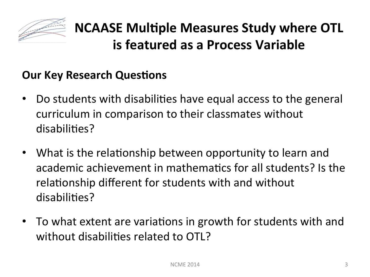

### **NCAASE Multiple Measures Study where OTL is featured as a Process Variable**

#### **Our Key Research Questions**

- Do students with disabilities have equal access to the general curriculum in comparison to their classmates without disabilities?
- What is the relationship between opportunity to learn and academic achievement in mathematics for all students? Is the relationship different for students with and without disabilities?
- To what extent are variations in growth for students with and without disabilities related to OTL?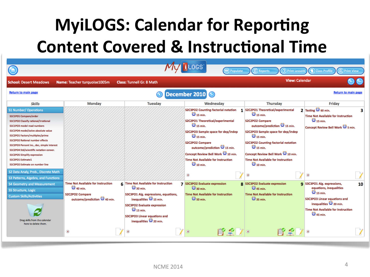## **MyiLOGS: Calendar for Reporting Content Covered & Instructional Time**

|                                                                                                                                                                                                                                                                                                                                                                                                                                                     |                                                                                                                               |                                                                                                                                                                                                                                                                            | ( <del>11)</del> Populate                                                                                                                                                                                                                                                                                                                                                  | (C) Print Lessons<br>Reports<br><b>View: Calendar</b>                                                                                                                                                                                                                                                                                                              | <b>Class Profile</b><br><b>Print View</b>                                                                                                                                                                                         |
|-----------------------------------------------------------------------------------------------------------------------------------------------------------------------------------------------------------------------------------------------------------------------------------------------------------------------------------------------------------------------------------------------------------------------------------------------------|-------------------------------------------------------------------------------------------------------------------------------|----------------------------------------------------------------------------------------------------------------------------------------------------------------------------------------------------------------------------------------------------------------------------|----------------------------------------------------------------------------------------------------------------------------------------------------------------------------------------------------------------------------------------------------------------------------------------------------------------------------------------------------------------------------|--------------------------------------------------------------------------------------------------------------------------------------------------------------------------------------------------------------------------------------------------------------------------------------------------------------------------------------------------------------------|-----------------------------------------------------------------------------------------------------------------------------------------------------------------------------------------------------------------------------------|
| <b>School: Desert Meadows</b>                                                                                                                                                                                                                                                                                                                                                                                                                       | Name: Teacher turquoise1005m                                                                                                  | <b>Class: Tunnell Gr. 8 Math</b>                                                                                                                                                                                                                                           |                                                                                                                                                                                                                                                                                                                                                                            |                                                                                                                                                                                                                                                                                                                                                                    |                                                                                                                                                                                                                                   |
| <b>Return to main page</b><br><b>Return to main page</b><br>December 2010 0                                                                                                                                                                                                                                                                                                                                                                         |                                                                                                                               |                                                                                                                                                                                                                                                                            |                                                                                                                                                                                                                                                                                                                                                                            |                                                                                                                                                                                                                                                                                                                                                                    |                                                                                                                                                                                                                                   |
| <b>Skills</b>                                                                                                                                                                                                                                                                                                                                                                                                                                       | <b>Monday</b>                                                                                                                 | <b>Tuesday</b>                                                                                                                                                                                                                                                             | Wednesday                                                                                                                                                                                                                                                                                                                                                                  | <b>Thursday</b>                                                                                                                                                                                                                                                                                                                                                    | Friday                                                                                                                                                                                                                            |
| <b>S1 Number/ Operations</b><br>S1C1PO1 Compare/order<br><b>S1C1PO2 Classify rational/irrational</b><br>S1C1PO3 model read numbers<br>S1C1PO4 model/solve absolute value<br>S1C2PO1 Factors/multiples/prime<br><b>S1C2PO2 Rational number effects</b><br>S1C2PO3 Percent inc., dec, simple interest<br>S1C2PO4 Std/scientific notation conver.<br><b>S1C2PO5 Simplify expression</b><br><b>S1C3PO1 Estimate1</b><br>S1C3PO2 Estimate on number line |                                                                                                                               |                                                                                                                                                                                                                                                                            | S2C3PO2 Counting-factorial notation<br>$\mathbf{0}$ 15 min.<br>S2C2PO1 Theoretical/experimental<br>$\mathbf{Q}_{15 \text{ min.}}$<br>S2C2PO3 Sample space for dep/indep<br>$\mathbf{0}$ 15 min.<br>S2C2PO2 Compare<br>outcome/prediction <sup>1</sup> 2 15 min.<br>Concept Review Bell Work @ 10 min.<br><b>Time Not Available for Instruction</b><br>$\mathbf{0}$ 10 min. | 1 S2C2PO1 Theoretical/experimental<br>$\mathbf{O}$ 15 min.<br>S2C2PO2 Compare<br>outcome/prediction $\mathbb Q$ 15 min.<br>S2C2PO3 Sample space for dep/indep<br>$\mathbf{0}$ 15 min.<br>S2C3PO2 Counting-factorial notation<br>$\mathbf{0}$ 15 min.<br>Concept Review Bell Work 2 10 min.<br>Time Not Available for Instruction<br>$\mathbf{O}_{10 \text{ min.}}$ | $2$ Testing $\bullet$ 60 min.<br><b>Time Not Available for Instruction</b><br>$\mathbf{0}$ 15 min.<br>Concept Review Bell Work C 5 min.                                                                                           |
| S2 Data Analy, Prob., Discrete Math<br>S3 Patterns, Algebra, and Functions                                                                                                                                                                                                                                                                                                                                                                          |                                                                                                                               |                                                                                                                                                                                                                                                                            | $\mathbf x$                                                                                                                                                                                                                                                                                                                                                                |                                                                                                                                                                                                                                                                                                                                                                    | $\mathbf x$                                                                                                                                                                                                                       |
| <b>S4 Geometry and Measurement</b><br>S5 Structure, Logic<br><b>Custom Skills/Activities</b><br>Drag skills from the calendar<br>here to delete them.                                                                                                                                                                                                                                                                                               | <b>Time Not Available for Instruction</b><br>2 40 min.<br><b>S2C2PO2 Compare</b><br>outcome/prediction <sup>1</sup> 2 40 min. | 6 Time Not Available for Instruction<br>$\bigcirc$ 30 min.<br>S3C3PO1 Alg. expressions, equations,<br>inequalities $\mathcal Q$ 15 min.<br>S3C3PO2 Evaluate expression<br>$\mathbf{0}$ 15 min.<br><b>S3C3PO3 Linear equations and</b><br>inequalities <sup>2</sup> 20 min. | 7 S3C3PO2 Evaluate expression<br>$Q_{30 \text{ min.}}$<br><b>Time Not Available for Instruction</b><br>$\mathbf{\mathcal{O}}$ 50 min.                                                                                                                                                                                                                                      | 8 S3C3PO2 Evaluate expression<br>$Q$ 45 min.<br><b>Time Not Available for Instruction</b><br>2 35 min.                                                                                                                                                                                                                                                             | <b>q</b> S3C3PO1 Alg. expressions,<br>10<br>equations, inequalities<br>$\mathbf{C}$ 15 min.<br>S3C3PO3 Linear equations and<br>inequalities <sup>2</sup> 20 min.<br><b>Time Not Available for Instruction</b><br><b>2</b> 45 min. |
|                                                                                                                                                                                                                                                                                                                                                                                                                                                     | $\mathbf x$                                                                                                                   |                                                                                                                                                                                                                                                                            | ぼく 刈                                                                                                                                                                                                                                                                                                                                                                       |                                                                                                                                                                                                                                                                                                                                                                    |                                                                                                                                                                                                                                   |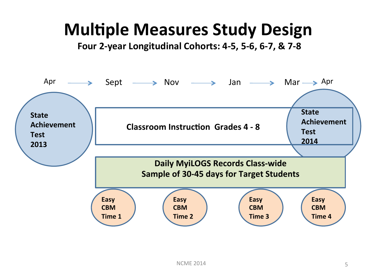## **Multiple Measures Study Design**

Four 2-year Longitudinal Cohorts: 4-5, 5-6, 6-7, & 7-8

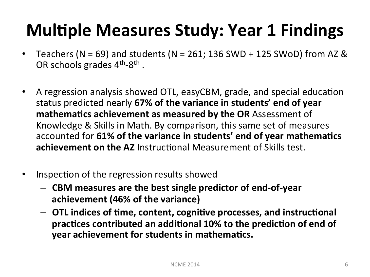## **Multiple Measures Study: Year 1 Findings**

- Teachers (N = 69) and students (N = 261; 136 SWD + 125 SWoD) from AZ & OR schools grades 4<sup>th</sup>-8<sup>th</sup>.
- A regression analysis showed OTL, easyCBM, grade, and special education status predicted nearly 67% of the variance in students' end of year mathematics achievement as measured by the OR Assessment of Knowledge & Skills in Math. By comparison, this same set of measures accounted for 61% of the variance in students' end of year mathematics **achievement on the AZ** Instructional Measurement of Skills test.
- Inspection of the regression results showed
	- $-$  CBM measures are the best single predictor of end-of-year achievement (46% of the variance)
	- $-$  OTL indices of time, content, cognitive processes, and instructional practices contributed an additional 10% to the prediction of end of **year achievement for students in mathematics.**